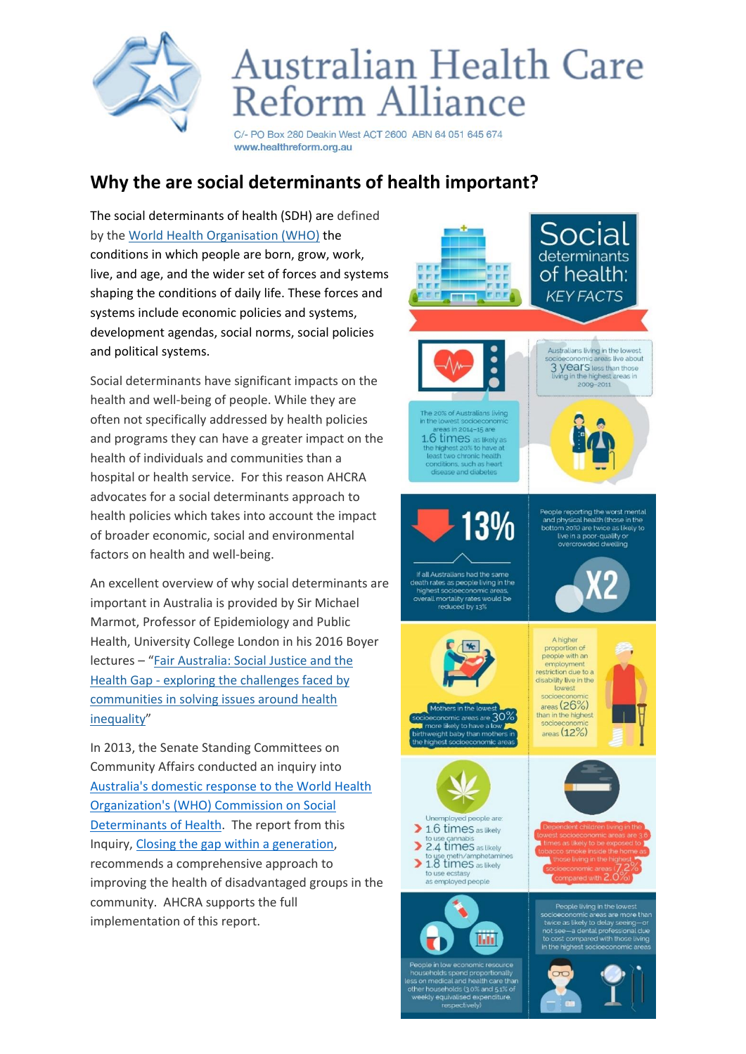

## Australian Health Care **Reform Alliance**

C/- PO Box 280 Deakin West ACT 2600 ABN 64 051 645 674 www.healthreform.org.au

## **Why the are social determinants of health important?**

The social determinants of health (SDH) are defined by the [World Health Organisation \(WHO\)](http://ruralhealth.org.au/advocacy/current-focus-areas/social-determinants-health#ftn1) the conditions in which people are born, grow, work, live, and age, and the wider set of forces and systems shaping the conditions of daily life. These forces and systems include economic policies and systems, development agendas, social norms, social policies and political systems.

Social determinants have significant impacts on the health and well-being of people. While they are often not specifically addressed by health policies and programs they can have a greater impact on the health of individuals and communities than a hospital or health service. For this reason AHCRA advocates for a social determinants approach to health policies which takes into account the impact of broader economic, social and environmental factors on health and well-being.

An excellent overview of why social determinants are important in Australia is provided by Sir Michael Marmot, Professor of Epidemiology and Public Health, University College London in his 2016 Boyer lectures – "[Fair Australia: Social Justice and the](http://ruralhealth.org.au/advocacy/current-focus-areas/social-determinants-health#ftn5)  Health Gap - [exploring the challenges faced by](http://ruralhealth.org.au/advocacy/current-focus-areas/social-determinants-health#ftn5)  [communities in solving issues around health](http://ruralhealth.org.au/advocacy/current-focus-areas/social-determinants-health#ftn5)  [inequality](http://ruralhealth.org.au/advocacy/current-focus-areas/social-determinants-health#ftn5)"

In 2013, the Senate Standing Committees on Community Affairs conducted an inquiry into [Australia's domestic response to the World Health](https://www.aph.gov.au/Parliamentary_Business/Committees/Senate/Community_Affairs/Completed_inquiries/2010-13/socialdeterminantsofhealth/index)  [Organization's \(WHO\) Commission on Social](https://www.aph.gov.au/Parliamentary_Business/Committees/Senate/Community_Affairs/Completed_inquiries/2010-13/socialdeterminantsofhealth/index)  [Determinants of Health.](https://www.aph.gov.au/Parliamentary_Business/Committees/Senate/Community_Affairs/Completed_inquiries/2010-13/socialdeterminantsofhealth/index) The report from this Inquiry[, Closing the gap within a generation,](https://www.aph.gov.au/Parliamentary_Business/Committees/Senate/Community_Affairs/Completed_inquiries/2010-13/socialdeterminantsofhealth/whoreport/index) recommends a comprehensive approach to improving the health of disadvantaged groups in the community. AHCRA supports the full implementation of this report.